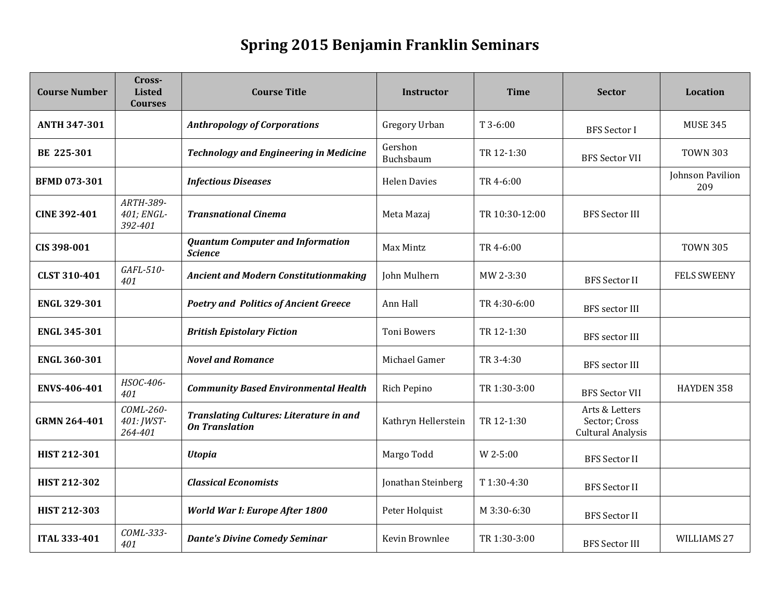## **Spring 2015 Benjamin Franklin Seminars**

| <b>Course Number</b> | Cross-<br><b>Listed</b><br><b>Courses</b> | <b>Course Title</b>                                                     | Instructor           | <b>Time</b>    | <b>Sector</b>                                               | Location                |
|----------------------|-------------------------------------------|-------------------------------------------------------------------------|----------------------|----------------|-------------------------------------------------------------|-------------------------|
| <b>ANTH 347-301</b>  |                                           | <b>Anthropology of Corporations</b>                                     | Gregory Urban        | T 3-6:00       | <b>BFS</b> Sector I                                         | <b>MUSE 345</b>         |
| BE 225-301           |                                           | <b>Technology and Engineering in Medicine</b>                           | Gershon<br>Buchsbaum | TR 12-1:30     | <b>BFS Sector VII</b>                                       | <b>TOWN 303</b>         |
| <b>BFMD 073-301</b>  |                                           | <b>Infectious Diseases</b>                                              | <b>Helen Davies</b>  | TR 4-6:00      |                                                             | Johnson Pavilion<br>209 |
| <b>CINE 392-401</b>  | ARTH-389-<br>401; ENGL-<br>392-401        | <b>Transnational Cinema</b>                                             | Meta Mazaj           | TR 10:30-12:00 | <b>BFS Sector III</b>                                       |                         |
| CIS 398-001          |                                           | <b>Quantum Computer and Information</b><br><b>Science</b>               | Max Mintz            | TR 4-6:00      |                                                             | <b>TOWN 305</b>         |
| <b>CLST 310-401</b>  | GAFL-510-<br>401                          | <b>Ancient and Modern Constitutionmaking</b>                            | John Mulhern         | MW 2-3:30      | <b>BFS</b> Sector II                                        | <b>FELS SWEENY</b>      |
| <b>ENGL 329-301</b>  |                                           | <b>Poetry and Politics of Ancient Greece</b>                            | Ann Hall             | TR 4:30-6:00   | <b>BFS</b> sector III                                       |                         |
| <b>ENGL 345-301</b>  |                                           | <b>British Epistolary Fiction</b>                                       | <b>Toni Bowers</b>   | TR 12-1:30     | <b>BFS</b> sector III                                       |                         |
| <b>ENGL 360-301</b>  |                                           | <b>Novel and Romance</b>                                                | Michael Gamer        | TR 3-4:30      | BFS sector III                                              |                         |
| ENVS-406-401         | HSOC-406-<br>401                          | <b>Community Based Environmental Health</b>                             | Rich Pepino          | TR 1:30-3:00   | <b>BFS Sector VII</b>                                       | HAYDEN 358              |
| <b>GRMN 264-401</b>  | COML-260-<br>401: JWST-<br>264-401        | <b>Translating Cultures: Literature in and</b><br><b>On Translation</b> | Kathryn Hellerstein  | TR 12-1:30     | Arts & Letters<br>Sector; Cross<br><b>Cultural Analysis</b> |                         |
| <b>HIST 212-301</b>  |                                           | <b>Utopia</b>                                                           | Margo Todd           | W 2-5:00       | <b>BFS</b> Sector II                                        |                         |
| <b>HIST 212-302</b>  |                                           | <b>Classical Economists</b>                                             | Jonathan Steinberg   | T1:30-4:30     | <b>BFS</b> Sector II                                        |                         |
| <b>HIST 212-303</b>  |                                           | World War I: Europe After 1800                                          | Peter Holquist       | M 3:30-6:30    | <b>BFS Sector II</b>                                        |                         |
| <b>ITAL 333-401</b>  | COML-333-<br>401                          | <b>Dante's Divine Comedy Seminar</b>                                    | Kevin Brownlee       | TR 1:30-3:00   | <b>BFS</b> Sector III                                       | WILLIAMS 27             |